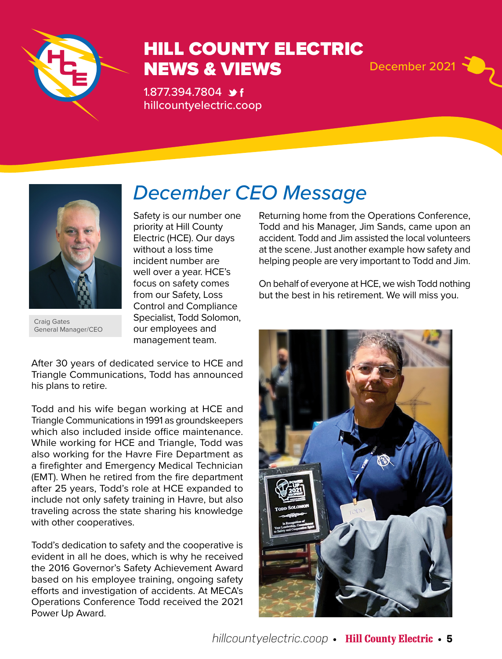

## HILL COUNTY ELECTRIC NEWS & VIEWS December 2021

1.877.394.7804 \*f hillcountyelectric.coop



Craig Gates General Manager/CEO

# *December CEO Message*

Safety is our number one priority at Hill County Electric (HCE). Our days without a loss time incident number are well over a year. HCE's focus on safety comes from our Safety, Loss Control and Compliance Specialist, Todd Solomon, our employees and management team.

After 30 years of dedicated service to HCE and Triangle Communications, Todd has announced his plans to retire.

Todd and his wife began working at HCE and Triangle Communications in 1991 as groundskeepers which also included inside office maintenance. While working for HCE and Triangle, Todd was also working for the Havre Fire Department as a firefighter and Emergency Medical Technician (EMT). When he retired from the fire department after 25 years, Todd's role at HCE expanded to include not only safety training in Havre, but also traveling across the state sharing his knowledge with other cooperatives.

Todd's dedication to safety and the cooperative is evident in all he does, which is why he received the 2016 Governor's Safety Achievement Award based on his employee training, ongoing safety efforts and investigation of accidents. At MECA's Operations Conference Todd received the 2021 Power Up Award.

Returning home from the Operations Conference, Todd and his Manager, Jim Sands, came upon an accident. Todd and Jim assisted the local volunteers at the scene. Just another example how safety and helping people are very important to Todd and Jim.

On behalf of everyone at HCE, we wish Todd nothing but the best in his retirement. We will miss you.

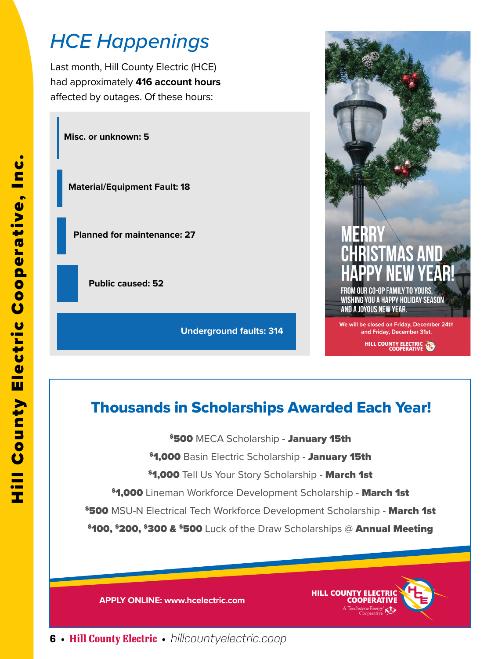# *HCE Happenings*

Last month, Hill County Electric (HCE) had approximately **416 account hours** affected by outages. Of these hours:

**Misc. or unknown: 5**

**Material/Equipment Fault: 18**

**Planned for maintenance: 27**

**Public caused: 52**

**Underground faults: 314**



HILL COUNTY ELECTRIC

### Thousands in Scholarships Awarded Each Year!

**\$500 MECA Scholarship - January 15th** 

\$1,000 Basin Electric Scholarship - January 15th

**\$1,000** Tell Us Your Story Scholarship - March 1st

**\$1,000** Lineman Workforce Development Scholarship - March 1st

**\$500 MSU-N Electrical Tech Workforce Development Scholarship - March 1st** 

\$100, \$200, \$300 & \$500 Luck of the Draw Scholarships @ Annual Meeting

**APPLY ONLINE: www.hcelectric.com** 



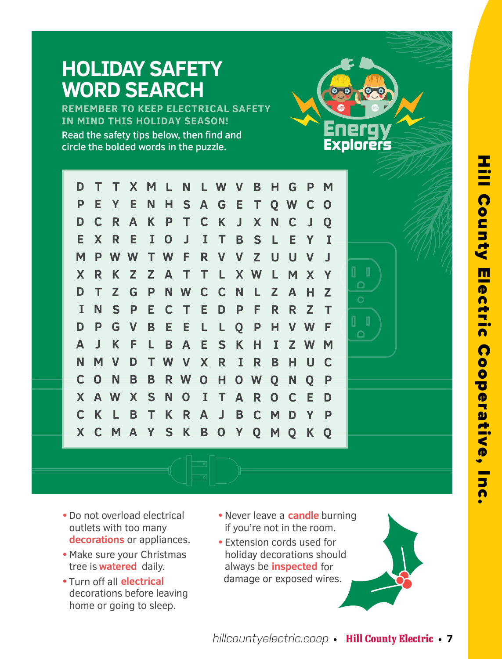#### **WORD SEARCH REMEMBER TO KEEP ELECTRICAL SAFETY IN MIND THIS HOLIDAY SEASON!**  Read the safety tips below, then find and circle the bolded words in the puzzle. Explorers **T N D T X M L L W V B H G P M P E Y E N S A E T H G Q W C O C R A K T C K J X N C J Q D P S E X R E I J I B L E I O T Y M P W W W F V Z U U V J T R V R Z Z T Y X K A T L X W L M X**  $\Box$ **D T Z G P N W C N C L Z A H Z N S I P E C T E D P F R R Z T D P G E E L P H V W F V B L Q**  $\Box$ **A J K F L B A E S K H I Z M W T W N M V D V X R I R B H U C N H C O B B R W O O W Q N Q P X W S O X N O I T A R C E A D C K L B T K R A J B C M D Y P X C M A S K B O Y Q M Q K Y Q**

**•** Do not overload electrical outlets with too many **decorations** or appliances.

**HOLIDAY SAFETY** 

- **•** Make sure your Christmas tree is **watered** daily.
- **•** Turn off all **electrical** decorations before leaving home or going to sleep.
- **•**Never leave a **candle** burning if you're not in the room.
- **•** Extension cords used for holiday decorations should always be **inspected** for damage or exposed wires.